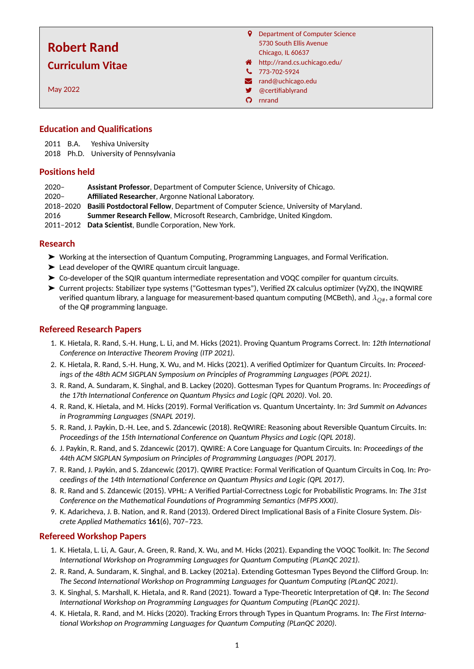# **Robert Rand Curriculum Vitae**

May 2022

- **9** Department of Computer Science 5730 South Ellis Avenue Chicago, IL 60637 http://rand.cs.uchicago.edu/
- $\frac{1}{2}$  773-702-5924
- **z** rand@uchicago.edu
- **9** @certifiablyrand
- **O** rnrand

# **Education and Qualifications**

2011 B.A. Yeshiva University

2018 Ph.D. University of Pennsylvania

# **Positions held**

- 2020– **Assistant Professor**, Department of Computer Science, University of Chicago.
- 2020– **Affiliated Researcher**, Argonne National Laboratory.
- 2018–2020 **Basili Postdoctoral Fellow**, Department of Computer Science, University of Maryland.
- 2016 **Summer Research Fellow**, Microsoft Research, Cambridge, United Kingdom.
- 2011–2012 **Data Scientist**, Bundle Corporation, New York.

# **Research**

- ➤ Working at the intersection of Quantum Computing, Programming Languages, and Formal Verification.
- ➤ Lead developer of the QWIRE quantum circuit language.
- ➤ Co-developer of the SQIR quantum intermediate representation and VOQC compiler for quantum circuits.
- ➤ Current projects: Stabilizer type systems ("Gottesman types"), Verified ZX calculus optimizer (VyZX), the INQWIRE verified quantum library, a language for measurement-based quantum computing (MCBeth), and *λ*<sub>O#</sub>, a formal core of the Q# programming language.

# **Refereed Research Papers**

- 1. K. Hietala, R. Rand, S.-H. Hung, L. Li, and M. Hicks (2021). Proving Quantum Programs Correct. In: *12th International Conference on Interactive Theorem Proving (ITP 2021)*.
- 2. K. Hietala, R. Rand, S.-H. Hung, X. Wu, and M. Hicks (2021). A verified Optimizer for Quantum Circuits. In: *Proceedings of the 48th ACM SIGPLAN Symposium on Principles of Programming Languages (POPL 2021)*.
- 3. R. Rand, A. Sundaram, K. Singhal, and B. Lackey (2020). Gottesman Types for Quantum Programs. In: *Proceedings of the 17th International Conference on Quantum Physics and Logic (QPL 2020)*. Vol. 20.
- 4. R. Rand, K. Hietala, and M. Hicks (2019). Formal Verification vs. Quantum Uncertainty. In: *3rd Summit on Advances in Programming Languages (SNAPL 2019)*.
- 5. R. Rand, J. Paykin, D.-H. Lee, and S. Zdancewic (2018). ReQWIRE: Reasoning about Reversible Quantum Circuits. In: *Proceedings of the 15th International Conference on Quantum Physics and Logic (QPL 2018)*.
- 6. J. Paykin, R. Rand, and S. Zdancewic (2017). QWIRE: A Core Language for Quantum Circuits. In: *Proceedings of the 44th ACM SIGPLAN Symposium on Principles of Programming Languages (POPL 2017)*.
- 7. R. Rand, J. Paykin, and S. Zdancewic (2017). QWIRE Practice: Formal Verification of Quantum Circuits in Coq. In: *Proceedings of the 14th International Conference on Quantum Physics and Logic (QPL 2017)*.
- 8. R. Rand and S. Zdancewic (2015). VPHL: A Verified Partial-Correctness Logic for Probabilistic Programs. In: *The 31st Conference on the Mathematical Foundations of Programming Semantics (MFPS XXXI)*.
- 9. K. Adaricheva, J. B. Nation, and R. Rand (2013). Ordered Direct Implicational Basis of a Finite Closure System. *Discrete Applied Mathematics* **161**(6), 707–723.

# **Refereed Workshop Papers**

- 1. K. Hietala, L. Li, A. Gaur, A. Green, R. Rand, X. Wu, and M. Hicks (2021). Expanding the VOQC Toolkit. In: *The Second International Workshop on Programming Languages for Quantum Computing (PLanQC 2021)*.
- 2. R. Rand, A. Sundaram, K. Singhal, and B. Lackey (2021a). Extending Gottesman Types Beyond the Clifford Group. In: *The Second International Workshop on Programming Languages for Quantum Computing (PLanQC 2021)*.
- 3. K. Singhal, S. Marshall, K. Hietala, and R. Rand (2021). Toward a Type-Theoretic Interpretation of Q#. In: *The Second International Workshop on Programming Languages for Quantum Computing (PLanQC 2021)*.
- 4. K. Hietala, R. Rand, and M. Hicks (2020). Tracking Errors through Types in Quantum Programs. In: *The First International Workshop on Programming Languages for Quantum Computing (PLanQC 2020)*.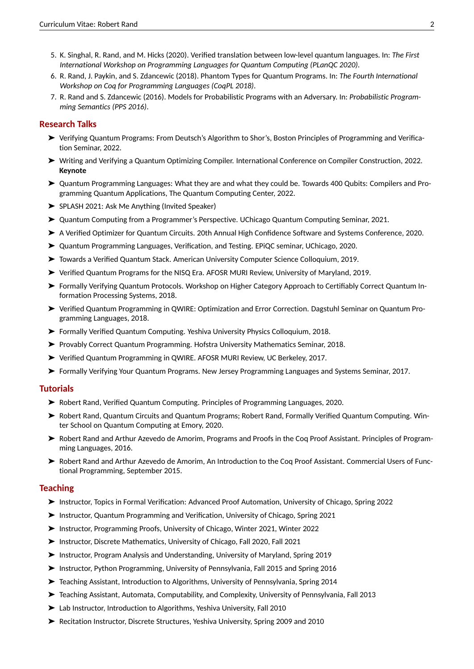- 5. K. Singhal, R. Rand, and M. Hicks (2020). Verified translation between low-level quantum languages. In: *The First International Workshop on Programming Languages for Quantum Computing (PLanQC 2020)*.
- 6. R. Rand, J. Paykin, and S. Zdancewic (2018). Phantom Types for Quantum Programs. In: *The Fourth International Workshop on Coq for Programming Languages (CoqPL 2018)*.
- 7. R. Rand and S. Zdancewic (2016). Models for Probabilistic Programs with an Adversary. In: *Probabilistic Programming Semantics (PPS 2016)*.

## **Research Talks**

- ➤ Verifying Quantum Programs: From Deutsch's Algorithm to Shor's, Boston Principles of Programming and Verification Seminar, 2022.
- ➤ Writing and Verifying a Quantum Optimizing Compiler. International Conference on Compiler Construction, 2022. **Keynote**
- ➤ Quantum Programming Languages: What they are and what they could be. Towards 400 Qubits: Compilers and Programming Quantum Applications, The Quantum Computing Center, 2022.
- ➤ SPLASH 2021: Ask Me Anything (Invited Speaker)
- ➤ Quantum Computing from a Programmer's Perspective. UChicago Quantum Computing Seminar, 2021.
- ➤ A Verified Optimizer for Quantum Circuits. 20th Annual High Confidence Software and Systems Conference, 2020.
- ➤ Quantum Programming Languages, Verification, and Testing. EPiQC seminar, UChicago, 2020.
- ➤ Towards a Verified Quantum Stack. American University Computer Science Colloquium, 2019.
- ➤ Verified Quantum Programs for the NISQ Era. AFOSR MURI Review, University of Maryland, 2019.
- ➤ Formally Verifying Quantum Protocols. Workshop on Higher Category Approach to Certifiably Correct Quantum Information Processing Systems, 2018.
- ➤ Verified Quantum Programming in QWIRE: Optimization and Error Correction. Dagstuhl Seminar on Quantum Programming Languages, 2018.
- ➤ Formally Verified Quantum Computing. Yeshiva University Physics Colloquium, 2018.
- ➤ Provably Correct Quantum Programming. Hofstra University Mathematics Seminar, 2018.
- ➤ Verified Quantum Programming in QWIRE. AFOSR MURI Review, UC Berkeley, 2017.
- ➤ Formally Verifying Your Quantum Programs. New Jersey Programming Languages and Systems Seminar, 2017.

## **Tutorials**

- ➤ Robert Rand, Verified Quantum Computing. Principles of Programming Languages, 2020.
- ➤ Robert Rand, Quantum Circuits and Quantum Programs; Robert Rand, Formally Verified Quantum Computing. Winter School on Quantum Computing at Emory, 2020.
- ➤ Robert Rand and Arthur Azevedo de Amorim, Programs and Proofs in the Coq Proof Assistant. Principles of Programming Languages, 2016.
- ➤ Robert Rand and Arthur Azevedo de Amorim, An Introduction to the Coq Proof Assistant. Commercial Users of Functional Programming, September 2015.

## **Teaching**

- ➤ Instructor, Topics in Formal Verification: Advanced Proof Automation, University of Chicago, Spring 2022
- ➤ Instructor, Quantum Programming and Verification, University of Chicago, Spring 2021
- ➤ Instructor, Programming Proofs, University of Chicago, Winter 2021, Winter 2022
- ➤ Instructor, Discrete Mathematics, University of Chicago, Fall 2020, Fall 2021
- ➤ Instructor, Program Analysis and Understanding, University of Maryland, Spring 2019
- ➤ Instructor, Python Programming, University of Pennsylvania, Fall 2015 and Spring 2016
- ➤ Teaching Assistant, Introduction to Algorithms, University of Pennsylvania, Spring 2014
- ➤ Teaching Assistant, Automata, Computability, and Complexity, University of Pennsylvania, Fall 2013
- ➤ Lab Instructor, Introduction to Algorithms, Yeshiva University, Fall 2010
- ➤ Recitation Instructor, Discrete Structures, Yeshiva University, Spring 2009 and 2010